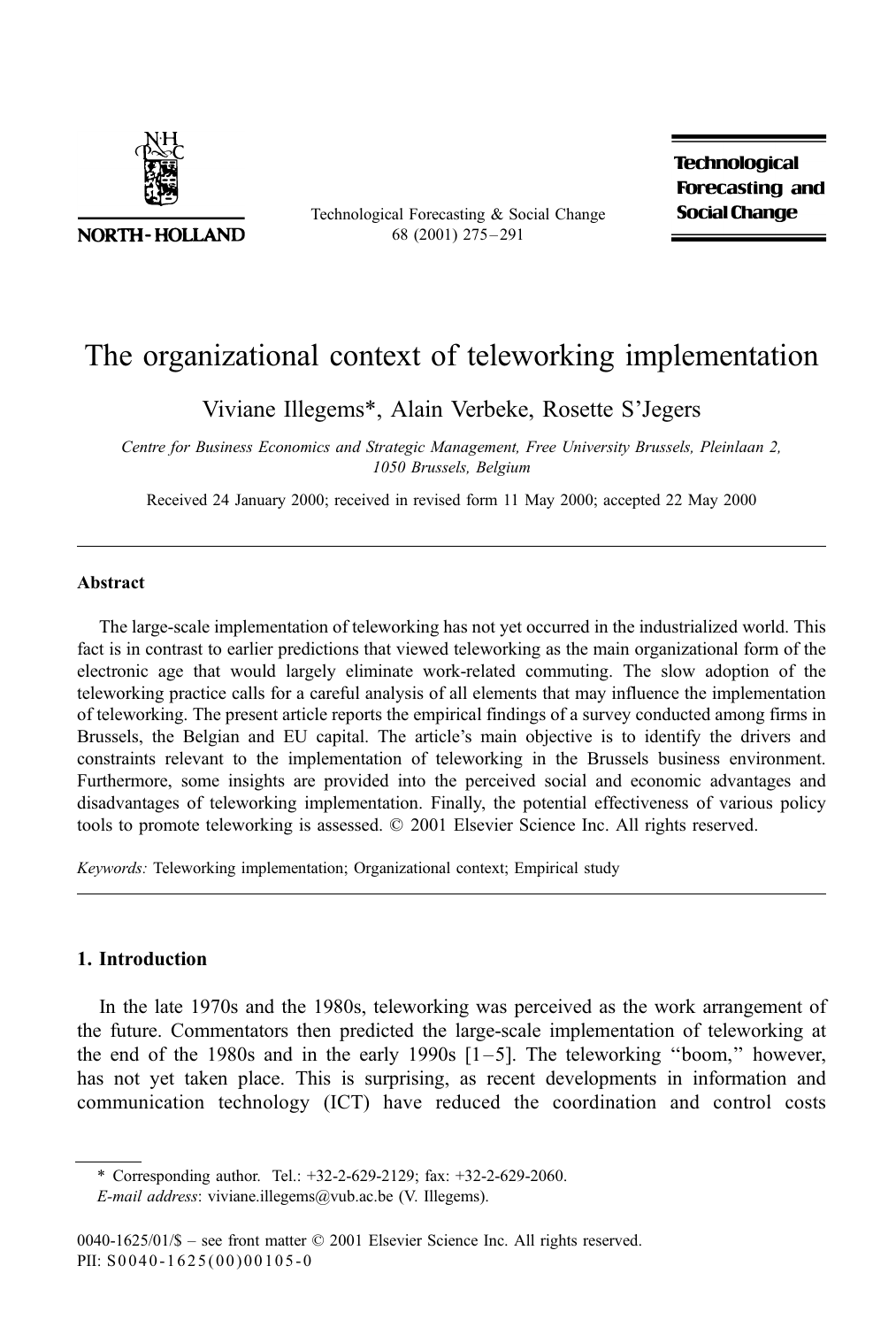

**NORTH-HOLLAND** 

Technological Forecasting & Social Change 68 (2001) 275 – 291

**Technological Forecasting and Social Change** 

# The organizational context of teleworking implementation

Viviane Illegems\*, Alain Verbeke, Rosette S'Jegers

Centre for Business Economics and Strategic Management, Free University Brussels, Pleinlaan 2, 1050 Brussels, Belgium

Received 24 January 2000; received in revised form 11 May 2000; accepted 22 May 2000

### Abstract

The large-scale implementation of teleworking has not yet occurred in the industrialized world. This fact is in contrast to earlier predictions that viewed teleworking as the main organizational form of the electronic age that would largely eliminate work-related commuting. The slow adoption of the teleworking practice calls for a careful analysis of all elements that may influence the implementation of teleworking. The present article reports the empirical findings of a survey conducted among firms in Brussels, the Belgian and EU capital. The article's main objective is to identify the drivers and constraints relevant to the implementation of teleworking in the Brussels business environment. Furthermore, some insights are provided into the perceived social and economic advantages and disadvantages of teleworking implementation. Finally, the potential effectiveness of various policy tools to promote teleworking is assessed.  $\odot$  2001 Elsevier Science Inc. All rights reserved.

Keywords: Teleworking implementation; Organizational context; Empirical study

## 1. Introduction

In the late 1970s and the 1980s, teleworking was perceived as the work arrangement of the future. Commentators then predicted the large-scale implementation of teleworking at the end of the 1980s and in the early 1990s  $[1-5]$ . The teleworking "boom," however, has not yet taken place. This is surprising, as recent developments in information and communication technology (ICT) have reduced the coordination and control costs

<sup>\*</sup> Corresponding author. Tel.: +32-2-629-2129; fax: +32-2-629-2060.

E-mail address: viviane.illegems@vub.ac.be (V. Illegems).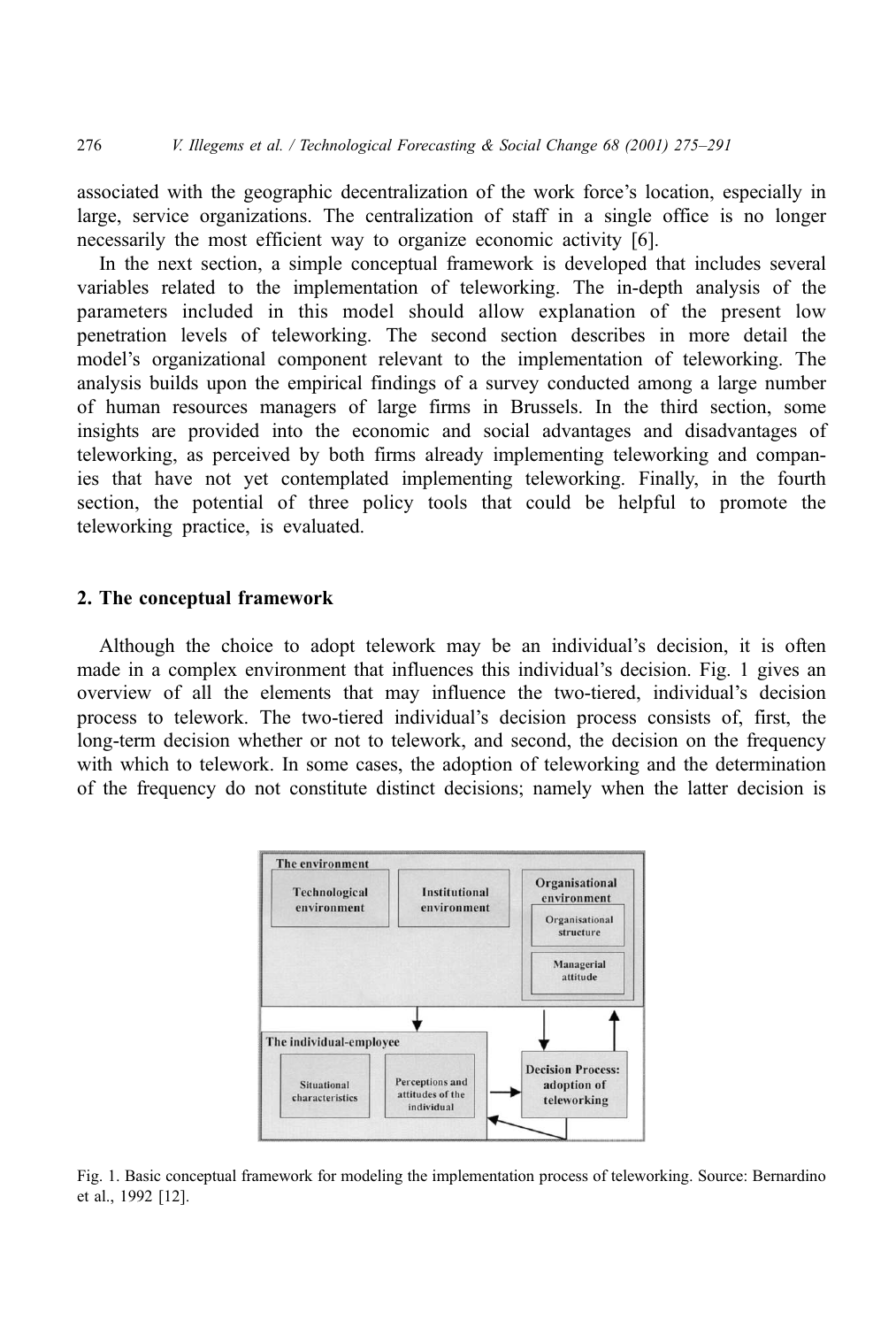associated with the geographic decentralization of the work force's location, especially in large, service organizations. The centralization of staff in a single office is no longer necessarily the most efficient way to organize economic activity [6].

In the next section, a simple conceptual framework is developed that includes several variables related to the implementation of teleworking. The in-depth analysis of the parameters included in this model should allow explanation of the present low penetration levels of teleworking. The second section describes in more detail the model's organizational component relevant to the implementation of teleworking. The analysis builds upon the empirical findings of a survey conducted among a large number of human resources managers of large firms in Brussels. In the third section, some insights are provided into the economic and social advantages and disadvantages of teleworking, as perceived by both firms already implementing teleworking and companies that have not yet contemplated implementing teleworking. Finally, in the fourth section, the potential of three policy tools that could be helpful to promote the teleworking practice, is evaluated.

#### 2. The conceptual framework

Although the choice to adopt telework may be an individual's decision, it is often made in a complex environment that influences this individual's decision. Fig. 1 gives an overview of all the elements that may influence the two-tiered, individual's decision process to telework. The two-tiered individual's decision process consists of, first, the long-term decision whether or not to telework, and second, the decision on the frequency with which to telework. In some cases, the adoption of teleworking and the determination of the frequency do not constitute distinct decisions; namely when the latter decision is



Fig. 1. Basic conceptual framework for modeling the implementation process of teleworking. Source: Bernardino et al., 1992 [12].